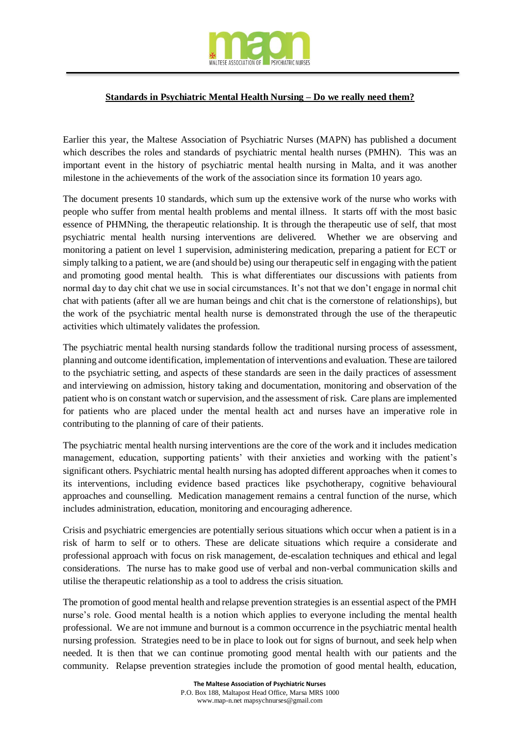

## **Standards in Psychiatric Mental Health Nursing – Do we really need them?**

Earlier this year, the Maltese Association of Psychiatric Nurses (MAPN) has published a document which describes the roles and standards of psychiatric mental health nurses (PMHN). This was an important event in the history of psychiatric mental health nursing in Malta, and it was another milestone in the achievements of the work of the association since its formation 10 years ago.

The document presents 10 standards, which sum up the extensive work of the nurse who works with people who suffer from mental health problems and mental illness. It starts off with the most basic essence of PHMNing, the therapeutic relationship. It is through the therapeutic use of self, that most psychiatric mental health nursing interventions are delivered. Whether we are observing and monitoring a patient on level 1 supervision, administering medication, preparing a patient for ECT or simply talking to a patient, we are (and should be) using our therapeutic self in engaging with the patient and promoting good mental health. This is what differentiates our discussions with patients from normal day to day chit chat we use in social circumstances. It's not that we don't engage in normal chit chat with patients (after all we are human beings and chit chat is the cornerstone of relationships), but the work of the psychiatric mental health nurse is demonstrated through the use of the therapeutic activities which ultimately validates the profession.

The psychiatric mental health nursing standards follow the traditional nursing process of assessment, planning and outcome identification, implementation of interventions and evaluation. These are tailored to the psychiatric setting, and aspects of these standards are seen in the daily practices of assessment and interviewing on admission, history taking and documentation, monitoring and observation of the patient who is on constant watch or supervision, and the assessment of risk. Care plans are implemented for patients who are placed under the mental health act and nurses have an imperative role in contributing to the planning of care of their patients.

The psychiatric mental health nursing interventions are the core of the work and it includes medication management, education, supporting patients' with their anxieties and working with the patient's significant others. Psychiatric mental health nursing has adopted different approaches when it comes to its interventions, including evidence based practices like psychotherapy, cognitive behavioural approaches and counselling. Medication management remains a central function of the nurse, which includes administration, education, monitoring and encouraging adherence.

Crisis and psychiatric emergencies are potentially serious situations which occur when a patient is in a risk of harm to self or to others. These are delicate situations which require a considerate and professional approach with focus on risk management, de-escalation techniques and ethical and legal considerations. The nurse has to make good use of verbal and non-verbal communication skills and utilise the therapeutic relationship as a tool to address the crisis situation.

The promotion of good mental health and relapse prevention strategies is an essential aspect of the PMH nurse's role. Good mental health is a notion which applies to everyone including the mental health professional. We are not immune and burnout is a common occurrence in the psychiatric mental health nursing profession. Strategies need to be in place to look out for signs of burnout, and seek help when needed. It is then that we can continue promoting good mental health with our patients and the community. Relapse prevention strategies include the promotion of good mental health, education,